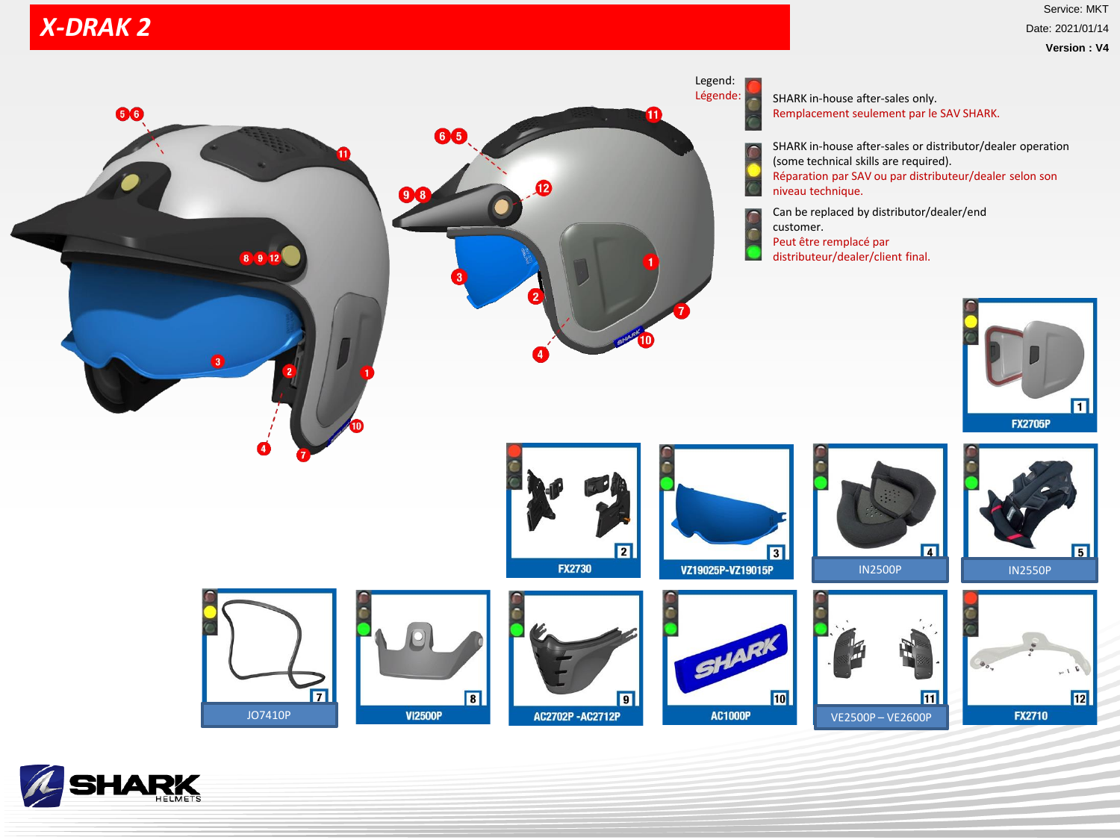## *X-DRAK X-DRAK 2*